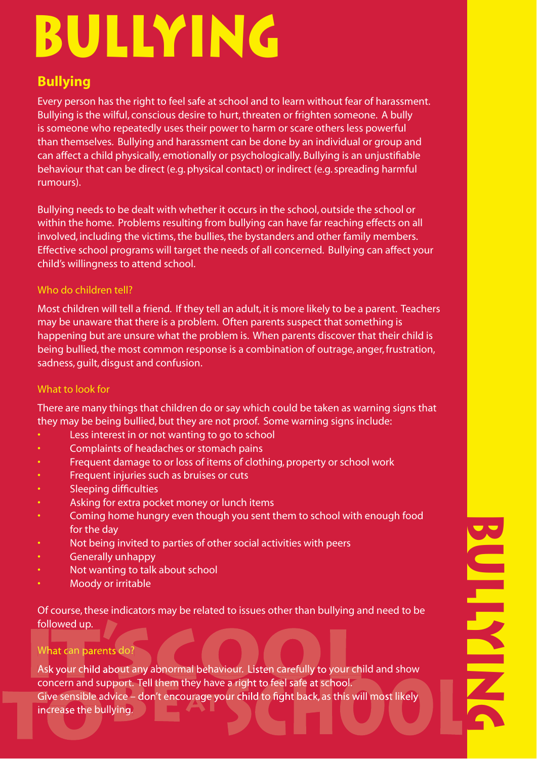# **BULLYING**

# **Bullying**

Every person has the right to feel safe at school and to learn without fear of harassment. Bullying is the wilful, conscious desire to hurt, threaten or frighten someone. A bully is someone who repeatedly uses their power to harm or scare others less powerful than themselves. Bullying and harassment can be done by an individual or group and can affect a child physically, emotionally or psychologically. Bullying is an unjustifiable behaviour that can be direct (e.g. physical contact) or indirect (e.g. spreading harmful rumours).

Bullying needs to be dealt with whether it occurs in the school, outside the school or within the home. Problems resulting from bullying can have far reaching effects on all involved, including the victims, the bullies, the bystanders and other family members. Effective school programs will target the needs of all concerned. Bullying can affect your child's willingness to attend school.

### Who do children tell?

Most children will tell a friend. If they tell an adult, it is more likely to be a parent. Teachers may be unaware that there is a problem. Often parents suspect that something is happening but are unsure what the problem is. When parents discover that their child is being bullied, the most common response is a combination of outrage, anger, frustration, sadness, guilt, disgust and confusion.

#### What to look for

There are many things that children do or say which could be taken as warning signs that they may be being bullied, but they are not proof. Some warning signs include:

- Less interest in or not wanting to go to school
- Complaints of headaches or stomach pains
- Frequent damage to or loss of items of clothing, property or school work
- Frequent injuries such as bruises or cuts
- Sleeping difficulties
- Asking for extra pocket money or lunch items
- Coming home hungry even though you sent them to school with enough food for the day
- Not being invited to parties of other social activities with peers
- Generally unhappy
- Not wanting to talk about school
- Moody or irritable

Of course, these indicators may be related to issues other than bullying and need to be followed up.

## What can parents do?

What can parents do?<br>Ask your child about any abnormal behaviour. Listen carefully to your child and show concern and support. Tell them they have a right to feel safe at school. Give sensible advice – don't encourage your child to fight back, as this will most likely<br>increase the bullying. increase the bullying. a right to feel safe at school<br>ur child to fight back, as this